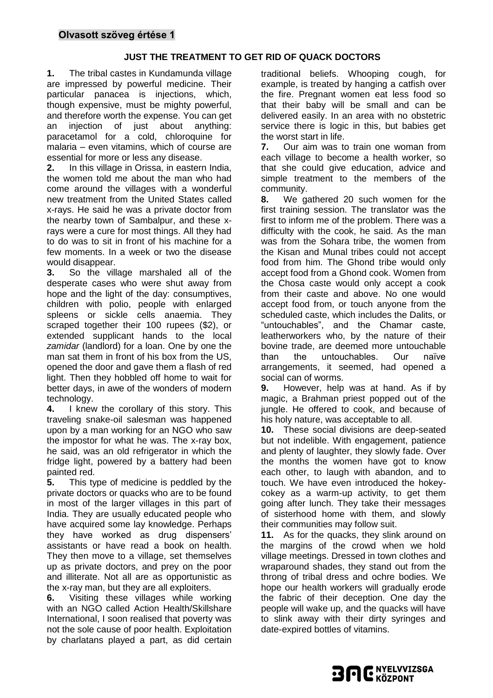# **JUST THE TREATMENT TO GET RID OF QUACK DOCTORS**

**1.** The tribal castes in Kundamunda village are impressed by powerful medicine. Their particular panacea is injections, which, though expensive, must be mighty powerful, and therefore worth the expense. You can get an injection of just about anything: paracetamol for a cold, chloroquine for malaria – even vitamins, which of course are essential for more or less any disease.

**2.** In this village in Orissa, in eastern India, the women told me about the man who had come around the villages with a wonderful new treatment from the United States called x-rays. He said he was a private doctor from the nearby town of Sambalpur, and these xrays were a cure for most things. All they had to do was to sit in front of his machine for a few moments. In a week or two the disease would disappear.

**3.** So the village marshaled all of the desperate cases who were shut away from hope and the light of the day: consumptives, children with polio, people with enlarged spleens or sickle cells anaemia. They scraped together their 100 rupees (\$2), or extended supplicant hands to the local *zamidar* (landlord) for a loan. One by one the man sat them in front of his box from the US, opened the door and gave them a flash of red light. Then they hobbled off home to wait for better days, in awe of the wonders of modern technology.

**4.** I knew the corollary of this story. This traveling snake-oil salesman was happened upon by a man working for an NGO who saw the impostor for what he was. The x-ray box, he said, was an old refrigerator in which the fridge light, powered by a battery had been painted red.

**5.** This type of medicine is peddled by the private doctors or quacks who are to be found in most of the larger villages in this part of India. They are usually educated people who have acquired some lay knowledge. Perhaps they have worked as drug dispensers' assistants or have read a book on health. They then move to a village, set themselves up as private doctors, and prey on the poor and illiterate. Not all are as opportunistic as the x-ray man, but they are all exploiters.

**6.** Visiting these villages while working with an NGO called Action Health/Skillshare International, I soon realised that poverty was not the sole cause of poor health. Exploitation by charlatans played a part, as did certain traditional beliefs. Whooping cough, for example, is treated by hanging a catfish over the fire. Pregnant women eat less food so that their baby will be small and can be delivered easily. In an area with no obstetric service there is logic in this, but babies get the worst start in life.

**7.** Our aim was to train one woman from each village to become a health worker, so that she could give education, advice and simple treatment to the members of the community.

**8.** We gathered 20 such women for the first training session. The translator was the first to inform me of the problem. There was a difficulty with the cook, he said. As the man was from the Sohara tribe, the women from the Kisan and Munal tribes could not accept food from him. The Ghond tribe would only accept food from a Ghond cook. Women from the Chosa caste would only accept a cook from their caste and above. No one would accept food from, or touch anyone from the scheduled caste, which includes the Dalits, or "untouchables", and the Chamar caste, leatherworkers who, by the nature of their bovine trade, are deemed more untouchable than the untouchables. Our naïve arrangements, it seemed, had opened a social can of worms.

**9.** However, help was at hand. As if by magic, a Brahman priest popped out of the jungle. He offered to cook, and because of his holy nature, was acceptable to all.

**10.** These social divisions are deep-seated but not indelible. With engagement, patience and plenty of laughter, they slowly fade. Over the months the women have got to know each other, to laugh with abandon, and to touch. We have even introduced the hokeycokey as a warm-up activity, to get them going after lunch. They take their messages of sisterhood home with them, and slowly their communities may follow suit.

**11.** As for the quacks, they slink around on the margins of the crowd when we hold village meetings. Dressed in town clothes and wraparound shades, they stand out from the throng of tribal dress and ochre bodies. We hope our health workers will gradually erode the fabric of their deception. One day the people will wake up, and the quacks will have to slink away with their dirty syringes and date-expired bottles of vitamins.

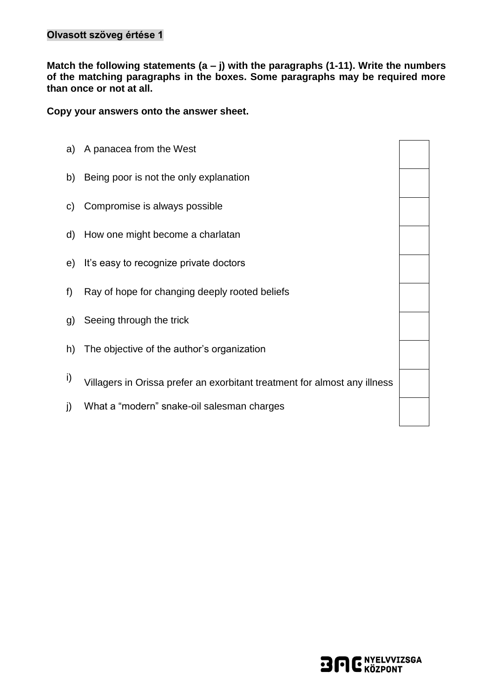**Match the following statements (a – j) with the paragraphs (1-11). Write the numbers of the matching paragraphs in the boxes. Some paragraphs may be required more than once or not at all.**

**Copy your answers onto the answer sheet.**

a) A panacea from the West b) Being poor is not the only explanation c) Compromise is always possible d) How one might become a charlatan e) It's easy to recognize private doctors f) Ray of hope for changing deeply rooted beliefs g) Seeing through the trick h) The objective of the author's organization i) Villagers in Orissa prefer an exorbitant treatment for almost any illness j) What a "modern" snake-oil salesman charges

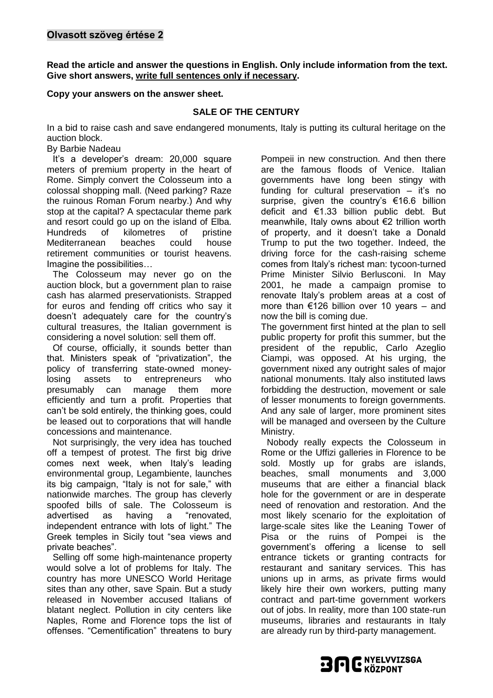**Read the article and answer the questions in English. Only include information from the text. Give short answers, write full sentences only if necessary.** 

#### **Copy your answers on the answer sheet.**

### **SALE OF THE CENTURY**

In a bid to raise cash and save endangered monuments, Italy is putting its cultural heritage on the auction block.

#### By Barbie Nadeau

It's a developer's dream: 20,000 square meters of premium property in the heart of Rome. Simply convert the Colosseum into a colossal shopping mall. (Need parking? Raze the ruinous Roman Forum nearby.) And why stop at the capital? A spectacular theme park and resort could go up on the island of Elba. Hundreds of kilometres of pristine<br>Mediterranean beaches could house Mediterranean beaches could house retirement communities or tourist heavens. Imagine the possibilities…

The Colosseum may never go on the auction block, but a government plan to raise cash has alarmed preservationists. Strapped for euros and fending off critics who say it doesn't adequately care for the country's cultural treasures, the Italian government is considering a novel solution: sell them off.

Of course, officially, it sounds better than that. Ministers speak of "privatization", the policy of transferring state-owned moneylosing assets to entrepreneurs who presumably can manage them more efficiently and turn a profit. Properties that can't be sold entirely, the thinking goes, could be leased out to corporations that will handle concessions and maintenance.

Not surprisingly, the very idea has touched off a tempest of protest. The first big drive comes next week, when Italy's leading environmental group, Legambiente, launches its big campaign, "Italy is not for sale," with nationwide marches. The group has cleverly spoofed bills of sale. The Colosseum is advertised as having a "renovated, independent entrance with lots of light." The Greek temples in Sicily tout "sea views and private beaches".

Selling off some high-maintenance property would solve a lot of problems for Italy. The country has more UNESCO World Heritage sites than any other, save Spain. But a study released in November accused Italians of blatant neglect. Pollution in city centers like Naples, Rome and Florence tops the list of offenses. "Cementification" threatens to bury Pompeii in new construction. And then there are the famous floods of Venice. Italian governments have long been stingy with funding for cultural preservation – it's no surprise, given the country's €16.6 billion deficit and €1.33 billion public debt. But meanwhile, Italy owns about €2 trillion worth of property, and it doesn't take a Donald Trump to put the two together. Indeed, the driving force for the cash-raising scheme comes from Italy's richest man: tycoon-turned Prime Minister Silvio Berlusconi. In May 2001, he made a campaign promise to renovate Italy's problem areas at a cost of more than €126 billion over 10 years – and now the bill is coming due.

The government first hinted at the plan to sell public property for profit this summer, but the president of the republic, Carlo Azeglio Ciampi, was opposed. At his urging, the government nixed any outright sales of major national monuments. Italy also instituted laws forbidding the destruction, movement or sale of lesser monuments to foreign governments. And any sale of larger, more prominent sites will be managed and overseen by the Culture Ministry.

Nobody really expects the Colosseum in Rome or the Uffizi galleries in Florence to be sold. Mostly up for grabs are islands, beaches, small monuments and 3,000 museums that are either a financial black hole for the government or are in desperate need of renovation and restoration. And the most likely scenario for the exploitation of large-scale sites like the Leaning Tower of Pisa or the ruins of Pompei is the government's offering a license to sell entrance tickets or granting contracts for restaurant and sanitary services. This has unions up in arms, as private firms would likely hire their own workers, putting many contract and part-time government workers out of jobs. In reality, more than 100 state-run museums, libraries and restaurants in Italy are already run by third-party management.

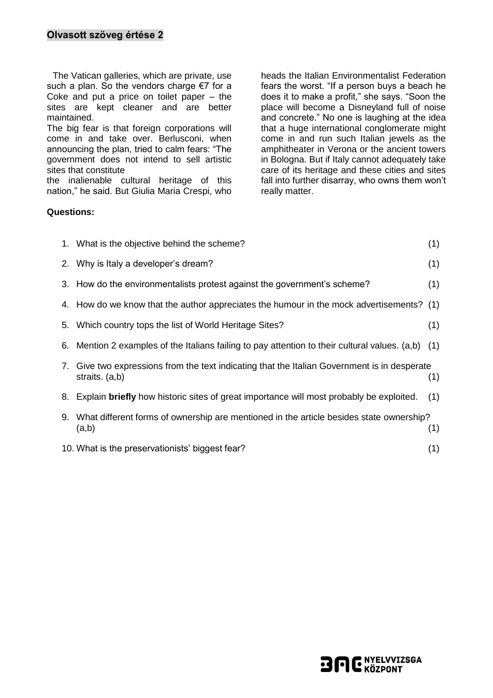The Vatican galleries, which are private, use such a plan. So the vendors charge €7 for a Coke and put a price on toilet paper – the sites are kept cleaner and are better maintained.

The big fear is that foreign corporations will come in and take over. Berlusconi, when announcing the plan, tried to calm fears: "The government does not intend to sell artistic sites that constitute

the inalienable cultural heritage of this nation," he said. But Giulia Maria Crespi, who

**Questions:**

heads the Italian Environmentalist Federation fears the worst. "If a person buys a beach he does it to make a profit," she says. "Soon the place will become a Disneyland full of noise and concrete." No one is laughing at the idea that a huge international conglomerate might come in and run such Italian jewels as the amphitheater in Verona or the ancient towers in Bologna. But if Italy cannot adequately take care of its heritage and these cities and sites fall into further disarray, who owns them won't really matter.

|    | 1. What is the objective behind the scheme?                                                                 | (1) |
|----|-------------------------------------------------------------------------------------------------------------|-----|
|    | 2. Why is Italy a developer's dream?                                                                        | (1) |
|    | 3. How do the environmentalists protest against the government's scheme?                                    | (1) |
|    | 4. How do we know that the author appreciates the humour in the mock advertisements? (1)                    |     |
|    | 5. Which country tops the list of World Heritage Sites?                                                     | (1) |
|    | 6. Mention 2 examples of the Italians failing to pay attention to their cultural values. (a,b)              | (1) |
| 7. | Give two expressions from the text indicating that the Italian Government is in desperate<br>straits. (a,b) | (1) |
| 8. | Explain <b>briefly</b> how historic sites of great importance will most probably be exploited.              | (1) |
|    | 9. What different forms of ownership are mentioned in the article besides state ownership?<br>(a,b)         | (1) |

10. What is the preservationists' biggest fear? (1)

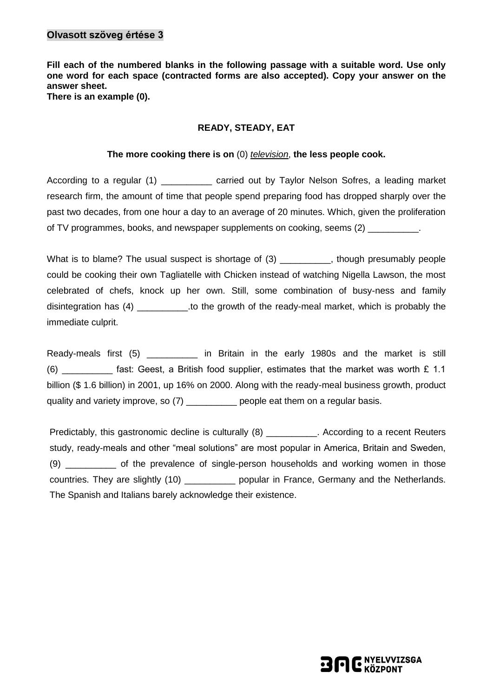## **Olvasott szöveg értése 3**

**Fill each of the numbered blanks in the following passage with a suitable word. Use only one word for each space (contracted forms are also accepted). Copy your answer on the answer sheet. There is an example (0).**

#### **READY, STEADY, EAT**

#### **The more cooking there is on** (0) *television*, **the less people cook.**

According to a regular (1) \_\_\_\_\_\_\_\_\_\_\_ carried out by Taylor Nelson Sofres, a leading market research firm, the amount of time that people spend preparing food has dropped sharply over the past two decades, from one hour a day to an average of 20 minutes. Which, given the proliferation of TV programmes, books, and newspaper supplements on cooking, seems (2) \_\_\_\_\_\_\_\_\_\_.

What is to blame? The usual suspect is shortage of (3) The usual suspect is shortage of (3) The usual suspect is shortage of (3) and the usual suspect is shortage of (3) and the usual suspect is shortage of (3) United Stre could be cooking their own Tagliatelle with Chicken instead of watching Nigella Lawson, the most celebrated of chefs, knock up her own. Still, some combination of busy-ness and family disintegration has (4)  $\qquad \qquad$  to the growth of the ready-meal market, which is probably the immediate culprit.

Ready-meals first (5) \_\_\_\_\_\_\_\_ in Britain in the early 1980s and the market is still (6) fast: Geest, a British food supplier, estimates that the market was worth £ 1.1 billion (\$ 1.6 billion) in 2001, up 16% on 2000. Along with the ready-meal business growth, product quality and variety improve, so (7) \_\_\_\_\_\_\_\_\_\_ people eat them on a regular basis.

Predictably, this gastronomic decline is culturally (8) The Recording to a recent Reuters study, ready-meals and other "meal solutions" are most popular in America, Britain and Sweden, (9) \_\_\_\_\_\_\_\_\_\_ of the prevalence of single-person households and working women in those countries. They are slightly (10) \_\_\_\_\_\_\_\_\_\_\_\_ popular in France, Germany and the Netherlands. The Spanish and Italians barely acknowledge their existence.